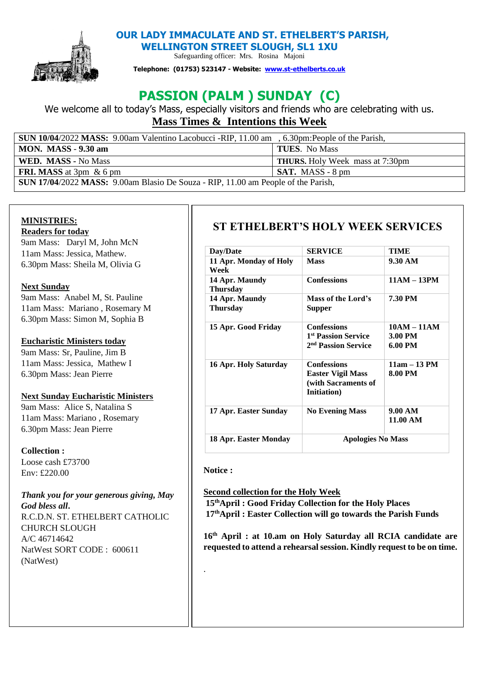

**OUR LADY IMMACULATE AND ST. ETHELBERT'S PARISH,** 

**WELLINGTON STREET SLOUGH, SL1 1XU**  Safeguarding officer: Mrs. Rosina Majoni

**Telephone: (01753) 523147 - Website: [www.st-ethelberts.co.uk](about:blank)**

# **PASSION (PALM ) SUNDAY (C)**

We welcome all to today's Mass, especially visitors and friends who are celebrating with us. **Mass Times & Intentions this Week** 

| <b>SUN 10/04/2022 MASS:</b> 9.00am Valentino Lacobucci -RIP, 11.00 am , 6.30pm:People of the Parish, |                                        |  |
|------------------------------------------------------------------------------------------------------|----------------------------------------|--|
| <b>MON. MASS - 9.30 am</b>                                                                           | <b>TUES.</b> No Mass                   |  |
| WED. MASS - No Mass                                                                                  | <b>THURS.</b> Holy Week mass at 7:30pm |  |
| <b>FRI. MASS</b> at $3\text{pm}$ & 6 pm                                                              | $\overline{\text{SAT}}$ . MASS - 8 pm  |  |
| <b>SUN 17/04/2022 MASS:</b> 9.00am Blasio De Souza - RIP, 11.00 am People of the Parish,             |                                        |  |

#### **MINISTRIES:**

**Readers for today**  9am Mass: Daryl M, John McN 11am Mass: Jessica, Mathew. 6.30pm Mass: Sheila M, Olivia G

#### **Next Sunday**

9am Mass: Anabel M, St. Pauline 11am Mass: Mariano , Rosemary M 6.30pm Mass: Simon M, Sophia B

#### **Eucharistic Ministers today**

9am Mass: Sr, Pauline, Jim B 11am Mass: Jessica, Mathew I 6.30pm Mass: Jean Pierre

#### **Next Sunday Eucharistic Ministers**

9am Mass: Alice S, Natalina S 11am Mass: Mariano , Rosemary 6.30pm Mass: Jean Pierre

**Collection :** 

Loose cash £73700 Env: £220.00

#### *Thank you for your generous giving, May God bless all***.**  R.C.D.N. ST. ETHELBERT CATHOLIC CHURCH SLOUGH

A/C 46714642 NatWest SORT CODE : 600611 (NatWest)

## **ST ETHELBERT'S HOLY WEEK SERVICES**

| Day/Date                          | SERVICE                                                                                 | TIME                                |
|-----------------------------------|-----------------------------------------------------------------------------------------|-------------------------------------|
| 11 Apr. Monday of Holy<br>Week    | Mass                                                                                    | 9.30 AM                             |
| 14 Apr. Maundy<br><b>Thursday</b> | <b>Confessions</b>                                                                      | $11AM - 13PM$                       |
| 14 Apr. Maundy<br><b>Thursday</b> | Mass of the Lord's<br>Supper                                                            | <b>7.30 PM</b>                      |
| 15 Apr. Good Friday               | <b>Confessions</b><br><sup>1st</sup> Passion Service<br>2 <sup>nd</sup> Passion Service | $10AM - 11AM$<br>3.00 PM<br>6.00 PM |
| 16 Apr. Holy Saturday             | <b>Confessions</b><br>Easter Vigil Mass<br>(with Sacraments of<br>Initiation)           | $11am - 13 PM$<br>8.00 PM           |
| 17 Apr. Easter Sunday             | <b>No Evening Mass</b>                                                                  | 9.00 AM<br>11.00 AM                 |
| 18 Apr. Easter Monday             | <b>Apologies No Mass</b>                                                                |                                     |

#### **Notice :**

.

**Second collection for the Holy Week 15thApril : Good Friday Collection for the Holy Places 17thApril : Easter Collection will go towards the Parish Funds**

**16th April : at 10.am on Holy Saturday all RCIA candidate are requested to attend a rehearsal session. Kindly request to be on time.**